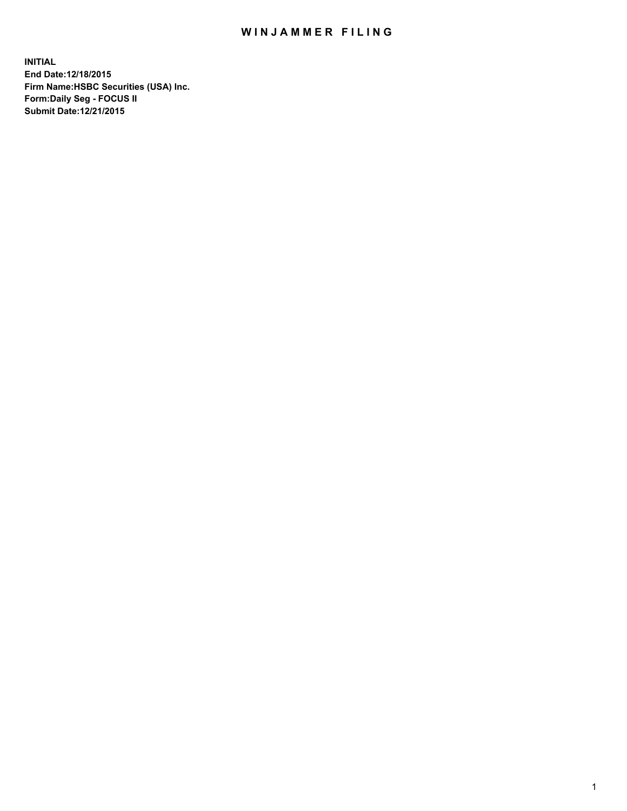## WIN JAMMER FILING

**INITIAL End Date:12/18/2015 Firm Name:HSBC Securities (USA) Inc. Form:Daily Seg - FOCUS II Submit Date:12/21/2015**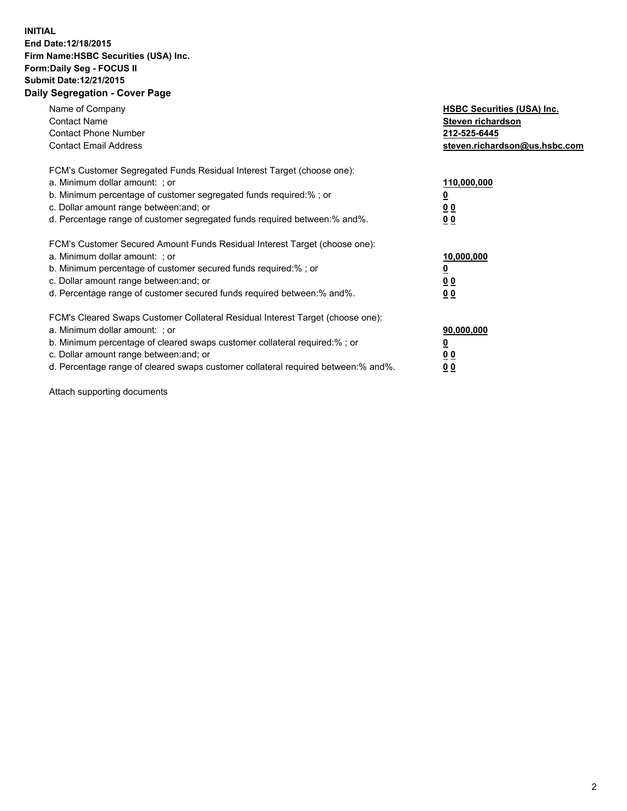## **INITIAL End Date:12/18/2015 Firm Name:HSBC Securities (USA) Inc. Form:Daily Seg - FOCUS II Submit Date:12/21/2015 Daily Segregation - Cover Page**

| Name of Company<br><b>Contact Name</b><br><b>Contact Phone Number</b><br><b>Contact Email Address</b>                                                                                                                                                                                                                          | <b>HSBC Securities (USA) Inc.</b><br>Steven richardson<br>212-525-6445<br>steven.richardson@us.hsbc.com |
|--------------------------------------------------------------------------------------------------------------------------------------------------------------------------------------------------------------------------------------------------------------------------------------------------------------------------------|---------------------------------------------------------------------------------------------------------|
| FCM's Customer Segregated Funds Residual Interest Target (choose one):<br>a. Minimum dollar amount: ; or<br>b. Minimum percentage of customer segregated funds required:%; or<br>c. Dollar amount range between: and; or<br>d. Percentage range of customer segregated funds required between: % and %.                        | 110,000,000<br><u>0</u><br>0 <sub>0</sub><br>0 <sub>0</sub>                                             |
| FCM's Customer Secured Amount Funds Residual Interest Target (choose one):<br>a. Minimum dollar amount: ; or<br>b. Minimum percentage of customer secured funds required:%; or<br>c. Dollar amount range between: and; or<br>d. Percentage range of customer secured funds required between:% and%.                            | 10,000,000<br>0 <sub>0</sub><br>00                                                                      |
| FCM's Cleared Swaps Customer Collateral Residual Interest Target (choose one):<br>a. Minimum dollar amount: ; or<br>b. Minimum percentage of cleared swaps customer collateral required:% ; or<br>c. Dollar amount range between: and; or<br>d. Percentage range of cleared swaps customer collateral required between:% and%. | 90,000,000<br><u>00</u><br>0 <sub>0</sub>                                                               |

Attach supporting documents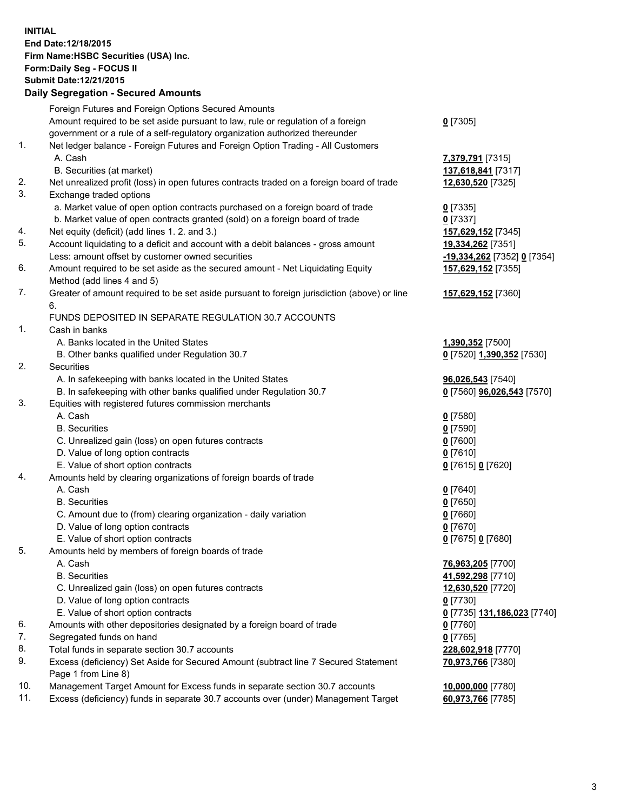**INITIAL End Date:12/18/2015 Firm Name:HSBC Securities (USA) Inc. Form:Daily Seg - FOCUS II Submit Date:12/21/2015 Daily Segregation - Secured Amounts**

## Foreign Futures and Foreign Options Secured Amounts Amount required to be set aside pursuant to law, rule or regulation of a foreign government or a rule of a self-regulatory organization authorized thereunder **0** [7305] 1. Net ledger balance - Foreign Futures and Foreign Option Trading - All Customers A. Cash **7,379,791** [7315] B. Securities (at market) **137,618,841** [7317] 2. Net unrealized profit (loss) in open futures contracts traded on a foreign board of trade **12,630,520** [7325] 3. Exchange traded options a. Market value of open option contracts purchased on a foreign board of trade **0** [7335] b. Market value of open contracts granted (sold) on a foreign board of trade **0** [7337] 4. Net equity (deficit) (add lines 1. 2. and 3.) **157,629,152** [7345] 5. Account liquidating to a deficit and account with a debit balances - gross amount **19,334,262** [7351] Less: amount offset by customer owned securities **-19,334,262** [7352] **0** [7354] 6. Amount required to be set aside as the secured amount - Net Liquidating Equity Method (add lines 4 and 5) **157,629,152** [7355] 7. Greater of amount required to be set aside pursuant to foreign jurisdiction (above) or line 6. **157,629,152** [7360] FUNDS DEPOSITED IN SEPARATE REGULATION 30.7 ACCOUNTS 1. Cash in banks A. Banks located in the United States **1,390,352** [7500] B. Other banks qualified under Regulation 30.7 **0** [7520] **1,390,352** [7530] 2. Securities A. In safekeeping with banks located in the United States **96,026,543** [7540] B. In safekeeping with other banks qualified under Regulation 30.7 **0** [7560] **96,026,543** [7570] 3. Equities with registered futures commission merchants A. Cash **0** [7580] B. Securities **0** [7590] C. Unrealized gain (loss) on open futures contracts **0** [7600] D. Value of long option contracts **0** [7610] E. Value of short option contracts **0** [7615] **0** [7620] 4. Amounts held by clearing organizations of foreign boards of trade A. Cash **0** [7640] B. Securities **0** [7650] C. Amount due to (from) clearing organization - daily variation **0** [7660] D. Value of long option contracts **0** [7670] E. Value of short option contracts **0** [7675] **0** [7680] 5. Amounts held by members of foreign boards of trade A. Cash **76,963,205** [7700] B. Securities **41,592,298** [7710] C. Unrealized gain (loss) on open futures contracts **12,630,520** [7720] D. Value of long option contracts **0** [7730] E. Value of short option contracts **0** [7735] **131,186,023** [7740] 6. Amounts with other depositories designated by a foreign board of trade **0** [7760] 7. Segregated funds on hand **0** [7765] 8. Total funds in separate section 30.7 accounts **228,602,918** [7770] 9. Excess (deficiency) Set Aside for Secured Amount (subtract line 7 Secured Statement Page 1 from Line 8) **70,973,766** [7380] 10. Management Target Amount for Excess funds in separate section 30.7 accounts **10,000,000** [7780] 11. Excess (deficiency) funds in separate 30.7 accounts over (under) Management Target **60,973,766** [7785]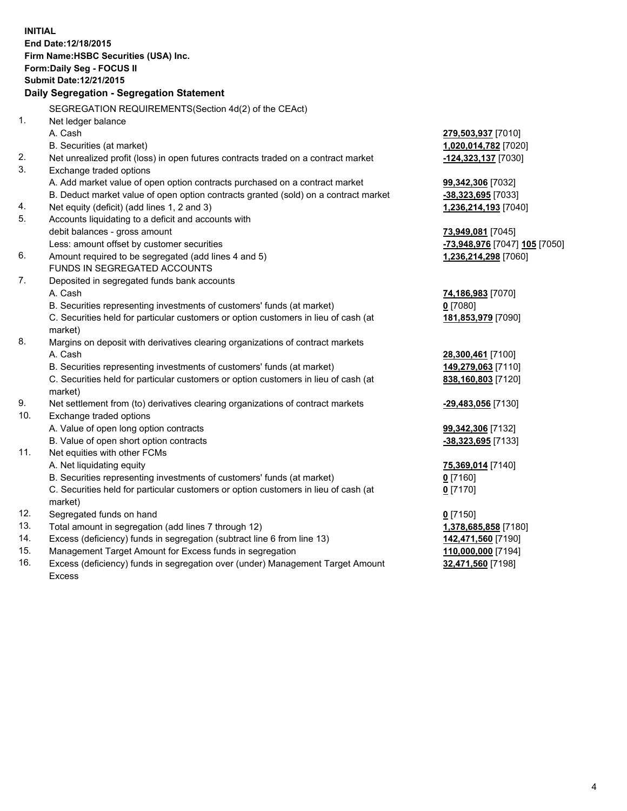**INITIAL End Date:12/18/2015 Firm Name:HSBC Securities (USA) Inc. Form:Daily Seg - FOCUS II Submit Date:12/21/2015 Daily Segregation - Segregation Statement** SEGREGATION REQUIREMENTS(Section 4d(2) of the CEAct) 1. Net ledger balance A. Cash **279,503,937** [7010] B. Securities (at market) **1,020,014,782** [7020] 2. Net unrealized profit (loss) in open futures contracts traded on a contract market **-124,323,137** [7030] 3. Exchange traded options A. Add market value of open option contracts purchased on a contract market **99,342,306** [7032] B. Deduct market value of open option contracts granted (sold) on a contract market **-38,323,695** [7033] 4. Net equity (deficit) (add lines 1, 2 and 3) **1,236,214,193** [7040] 5. Accounts liquidating to a deficit and accounts with debit balances - gross amount **73,949,081** [7045] Less: amount offset by customer securities **-73,948,976** [7047] **105** [7050] 6. Amount required to be segregated (add lines 4 and 5) **1,236,214,298** [7060] FUNDS IN SEGREGATED ACCOUNTS 7. Deposited in segregated funds bank accounts A. Cash **74,186,983** [7070] B. Securities representing investments of customers' funds (at market) **0** [7080] C. Securities held for particular customers or option customers in lieu of cash (at market) **181,853,979** [7090] 8. Margins on deposit with derivatives clearing organizations of contract markets A. Cash **28,300,461** [7100] B. Securities representing investments of customers' funds (at market) **149,279,063** [7110] C. Securities held for particular customers or option customers in lieu of cash (at market) **838,160,803** [7120] 9. Net settlement from (to) derivatives clearing organizations of contract markets **-29,483,056** [7130] 10. Exchange traded options A. Value of open long option contracts **99,342,306** [7132] B. Value of open short option contracts **-38,323,695** [7133] 11. Net equities with other FCMs A. Net liquidating equity **75,369,014** [7140] B. Securities representing investments of customers' funds (at market) **0** [7160] C. Securities held for particular customers or option customers in lieu of cash (at market) **0** [7170] 12. Segregated funds on hand **0** [7150] 13. Total amount in segregation (add lines 7 through 12) **1,378,685,858** [7180] 14. Excess (deficiency) funds in segregation (subtract line 6 from line 13) **142,471,560** [7190] 15. Management Target Amount for Excess funds in segregation **110,000,000** [7194] 16. Excess (deficiency) funds in segregation over (under) Management Target Amount **32,471,560** [7198]

Excess